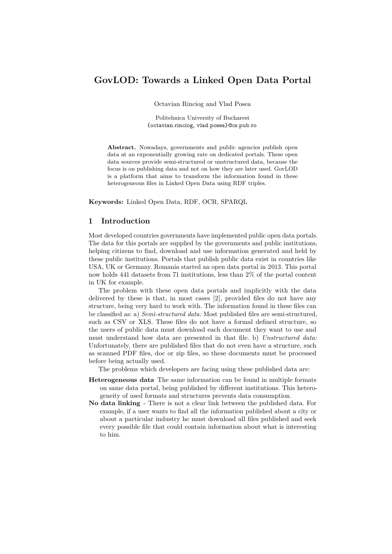# **GovLOD: Towards a Linked Open Data Portal**

Octavian Rinciog and Vlad Posea

Politehnica University of Bucharest {octavian.rinciog, vlad.posea}@cs.pub.ro

**Abstract.** Nowadays, governments and public agencies publish open data at an exponentially growing rate on dedicated portals. These open data sources provide semi-structured or unstructured data, because the focus is on publishing data and not on how they are later used. GovLOD is a platform that aims to transform the information found in these heterogeneous files in Linked Open Data using RDF triples.

**Keywords:** Linked Open Data, RDF, OCR, SPARQL

# **1 Introduction**

Most developed countries governments have implemented public open data portals. The data for this portals are supplied by the governments and public institutions, helping citizens to find, download and use information generated and held by these public institutions. Portals that publish public data exist in countries like USA, UK or Germany. Romania started an open data portal in 2013. This portal now holds 441 datasets from 71 institutions, less than 2% of the portal content in UK for example.

The problem with these open data portals and implicitly with the data delivered by these is that, in most cases [\[2\]](#page-3-0), provided files do not have any structure, being very hard to work with. The information found in these files can be classified as: a) *Semi-structured data:* Most published files are semi-structured, such as CSV or XLS. These files do not have a formal defined structure, so the users of public data must download each document they want to use and must understand how data are presented in that file. b) *Unstructured data:* Unfortunately, there are published files that do not even have a structure, such as scanned PDF files, doc or zip files, so these documents must be processed before being actually used.

The problems which developers are facing using these published data are:

- **Heterogeneous data** The same information can be found in multiple formats on same data portal, being published by different institutions. This heterogeneity of used formats and structures prevents data consumption.
- **No data linking** There is not a clear link between the published data. For example, if a user wants to find all the information published about a city or about a particular industry he must download all files published and seek every possible file that could contain information about what is interesting to him.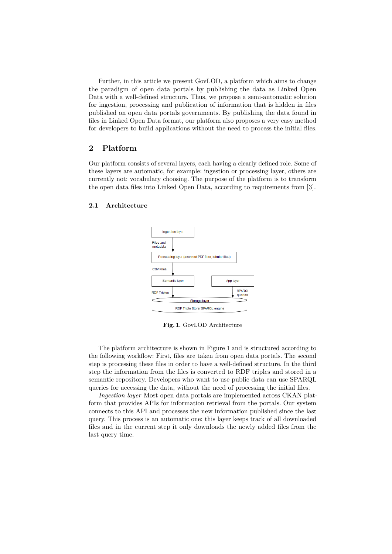Further, in this article we present GovLOD, a platform which aims to change the paradigm of open data portals by publishing the data as Linked Open Data with a well-defined structure. Thus, we propose a semi-automatic solution for ingestion, processing and publication of information that is hidden in files published on open data portals governments. By publishing the data found in files in Linked Open Data format, our platform also proposes a very easy method for developers to build applications without the need to process the initial files.

# **2 Platform**

Our platform consists of several layers, each having a clearly defined role. Some of these layers are automatic, for example: ingestion or processing layer, others are currently not: vocabulary choosing. The purpose of the platform is to transform the open data files into Linked Open Data, according to requirements from [\[3\]](#page-3-1).

#### <span id="page-1-0"></span>**2.1 Architecture**



**Fig. 1.** GovLOD Architecture

The platform architecture is shown in [Figure](#page-1-0) 1 and is structured according to the following workflow: First, files are taken from open data portals. The second step is processing these files in order to have a well-defined structure. In the third step the information from the files is converted to RDF triples and stored in a semantic repository. Developers who want to use public data can use SPARQL queries for accessing the data, without the need of processing the initial files.

*Ingestion layer* Most open data portals are implemented across CKAN platform that provides APIs for information retrieval from the portals. Our system connects to this API and processes the new information published since the last query. This process is an automatic one: this layer keeps track of all downloaded files and in the current step it only downloads the newly added files from the last query time.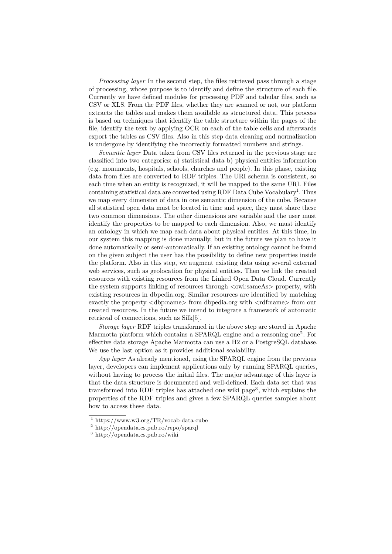*Processing layer* In the second step, the files retrieved pass through a stage of processing, whose purpose is to identify and define the structure of each file. Currently we have defined modules for processing PDF and tabular files, such as CSV or XLS. From the PDF files, whether they are scanned or not, our platform extracts the tables and makes them available as structured data. This process is based on techniques that identify the table structure within the pages of the file, identify the text by applying OCR on each of the table cells and afterwards export the tables as CSV files. Also in this step data cleaning and normalization is undergone by identifying the incorrectly formatted numbers and strings.

*Semantic layer* Data taken from CSV files returned in the previous stage are classified into two categories: a) statistical data b) physical entities information (e.g. monuments, hospitals, schools, churches and people). In this phase, existing data from files are converted to RDF triples. The URI schema is consistent, so each time when an entity is recognized, it will be mapped to the same URI. Files containing statistical data are converted using RDF Data Cube Vocabulary<sup>[1](#page-2-0)</sup>. Thus we map every dimension of data in one semantic dimension of the cube. Because all statistical open data must be located in time and space, they must share these two common dimensions. The other dimensions are variable and the user must identify the properties to be mapped to each dimension. Also, we must identify an ontology in which we map each data about physical entities. At this time, in our system this mapping is done manually, but in the future we plan to have it done automatically or semi-automatically. If an existing ontology cannot be found on the given subject the user has the possibility to define new properties inside the platform. Also in this step, we augment existing data using several external web services, such as geolocation for physical entities. Then we link the created resources with existing resources from the Linked Open Data Cloud. Currently the system supports linking of resources through  $\langle$  owl:sameAs $\rangle$  property, with existing resources in dbpedia.org. Similar resources are identified by matching exactly the property  $\langle$ dbp:name> from dbpedia.org with  $\langle$ rdf:name> from our created resources. In the future we intend to integrate a framework of automatic retrieval of connections, such as Silk[\[5\]](#page-3-2).

*Storage layer* RDF triples transformed in the above step are stored in Apache Marmotta platform which contains a SPARQL engine and a reasoning one<sup>[2](#page-2-1)</sup>. For effective data storage Apache Marmotta can use a H2 or a PostgreSQL database. We use the last option as it provides additional scalability.

*App layer* As already mentioned, using the SPARQL engine from the previous layer, developers can implement applications only by running SPARQL queries, without having to process the initial files. The major advantage of this layer is that the data structure is documented and well-defined. Each data set that was transformed into RDF triples has attached one wiki page<sup>[3](#page-2-2)</sup>, which explains the properties of the RDF triples and gives a few SPARQL queries samples about how to access these data.

<span id="page-2-0"></span><sup>1</sup> https://www.w3.org/TR/vocab-data-cube

<span id="page-2-1"></span><sup>2</sup> http://opendata.cs.pub.ro/repo/sparql

<span id="page-2-2"></span><sup>3</sup> http://opendata.cs.pub.ro/wiki